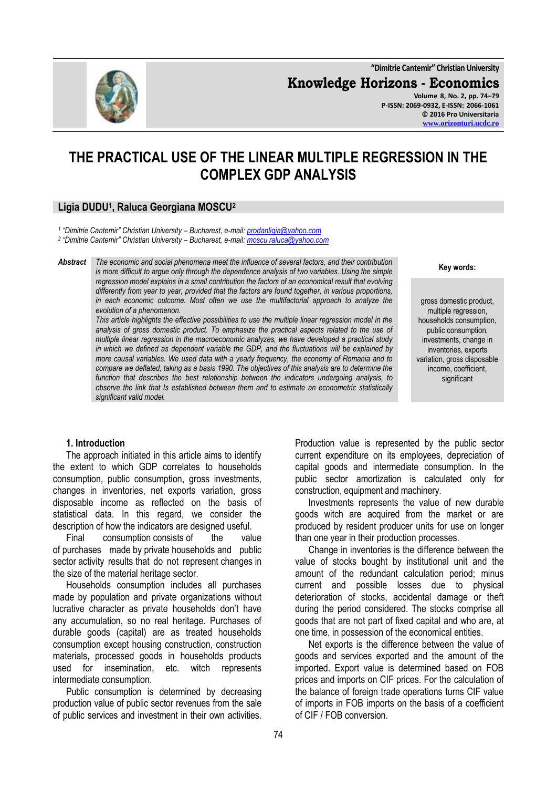**"Dimitrie Cantemir" Christian University**

**Knowledge Horizons - Economics**

**Volume 8, No. 2, pp. 74–79 P-ISSN: 2069-0932, E-ISSN: 2066-1061 © 2016 Pro Universitaria [www.orizonturi.ucdc.ro](http://www.orizonturi.ucdc.ro/)**

# **THE PRACTICAL USE OF THE LINEAR MULTIPLE REGRESSION IN THE COMPLEX GDP ANALYSIS**

# **Ligia DUDU<sup>1</sup> , Raluca Georgiana MOSCU<sup>2</sup>**

*1 "Dimitrie Cantemir" Christian University – Bucharest, e-mail: [prodanligia@yahoo.com](mailto:prodanligia@yahoo.com)*

*2 "Dimitrie Cantemir" Christian University – Bucharest, e-mail: [moscu.raluca@yahoo.com](mailto:moscu.raluca@yahoo.com)*

*Abstract The economic and social phenomena meet the influence of several factors, and their contribution is more difficult to argue only through the dependence analysis of two variables. Using the simple regression model explains in a small contribution the factors of an economical result that evolving differently from year to year, provided that the factors are found together, in various proportions, in each economic outcome. Most often we use the multifactorial approach to analyze the evolution of a phenomenon.*

*This article highlights the effective possibilities to use the multiple linear regression model in the analysis of gross domestic product. To emphasize the practical aspects related to the use of multiple linear regression in the macroeconomic analyzes, we have developed a practical study in which we defined as dependent variable the GDP, and the fluctuations will be explained by more causal variables. We used data with a yearly frequency, the economy of Romania and to compare we deflated, taking as a basis 1990. The objectives of this analysis are to determine the function that describes the best relationship between the indicators undergoing analysis, to observe the link that Is established between them and to estimate an econometric statistically significant valid model.*

**Key words:**

gross domestic product, multiple regression, households consumption, public consumption, investments, change in inventories, exports variation, gross disposable income, coefficient, significant

## **1. Introduction**

The approach initiated in this article aims to identify the extent to which GDP correlates to households consumption, public consumption, gross investments, changes in inventories, net exports variation, gross disposable income as reflected on the basis of statistical data. In this regard, we consider the description of how the indicators are designed useful.

Final consumption consists of the value of purchases made by private households and public sector activity results that do not represent changes in the size of the material heritage sector.

Households consumption includes all purchases made by population and private organizations without lucrative character as private households don't have any accumulation, so no real heritage. Purchases of durable goods (capital) are as treated households consumption except housing construction, construction materials, processed goods in households products used for insemination, etc. witch represents intermediate consumption.

Public consumption is determined by decreasing production value of public sector revenues from the sale of public services and investment in their own activities. Production value is represented by the public sector current expenditure on its employees, depreciation of capital goods and intermediate consumption. In the public sector amortization is calculated only for construction, equipment and machinery.

Investments represents the value of new durable goods witch are acquired from the market or are produced by resident producer units for use on longer than one year in their production processes.

Change in inventories is the difference between the value of stocks bought by institutional unit and the amount of the redundant calculation period; minus current and possible losses due to physical deterioration of stocks, accidental damage or theft during the period considered. The stocks comprise all goods that are not part of fixed capital and who are, at one time, in possession of the economical entities.

Net exports is the difference between the value of goods and services exported and the amount of the imported. Export value is determined based on FOB prices and imports on CIF prices. For the calculation of the balance of foreign trade operations turns CIF value of imports in FOB imports on the basis of a coefficient of CIF / FOB conversion.

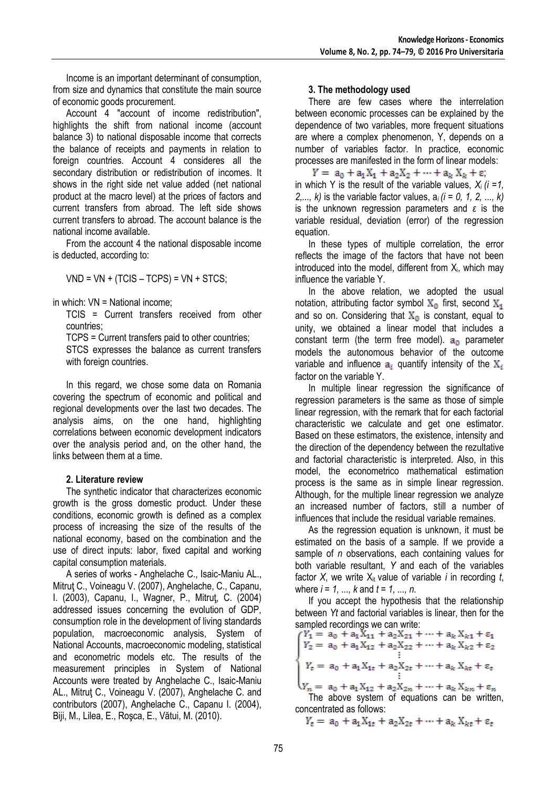Income is an important determinant of consumption, from size and dynamics that constitute the main source of economic goods procurement.

Account 4 "account of income redistribution", highlights the shift from national income (account balance 3) to national disposable income that corrects the balance of receipts and payments in relation to foreign countries. Account 4 consideres all the secondary distribution or redistribution of incomes. It shows in the right side net value added (net national product at the macro level) at the prices of factors and current transfers from abroad. The left side shows current transfers to abroad. The account balance is the national income available.

From the account 4 the national disposable income is deducted, according to:

 $VND = VN + (TCIS - TCPS) = VN + STCS$ ;

in which: VN = National income;

TCIS = Current transfers received from other countries;

TCPS = Current transfers paid to other countries;

STCS expresses the balance as current transfers with foreign countries.

In this regard, we chose some data on Romania covering the spectrum of economic and political and regional developments over the last two decades. The analysis aims, on the one hand, highlighting correlations between economic development indicators over the analysis period and, on the other hand, the links between them at a time.

# **2. Literature review**

The synthetic indicator that characterizes economic growth is the gross domestic product. Under these conditions, economic growth is defined as a complex process of increasing the size of the results of the national economy, based on the combination and the use of direct inputs: labor, fixed capital and working capital consumption materials.

A series of works - Anghelache C., Isaic-Maniu AL., Mitruţ C., Voineagu V. (2007), Anghelache, C., Capanu, I. (2003), Capanu, I., Wagner, P., Mitruţ, C. (2004) addressed issues concerning the evolution of GDP, consumption role in the development of living standards population, macroeconomic analysis, System of National Accounts, macroeconomic modeling, statistical and econometric models etc. The results of the measurement principles in System of National Accounts were treated by Anghelache C., Isaic-Maniu AL., Mitruţ C., Voineagu V. (2007), Anghelache C. and contributors (2007), Anghelache C., Capanu I. (2004), Biji, M., Lilea, E., Roşca, E., Vătui, M. (2010).

## **3. The methodology used**

There are few cases where the interrelation between economic processes can be explained by the dependence of two variables, more frequent situations are where a complex phenomenon, Y, depends on a number of variables factor. In practice, economic processes are manifested in the form of linear models:

 $Y = a_0 + a_1 X_1 + a_2 X_2 + \cdots + a_k X_k + \varepsilon$ ; in which Y is the result of the variable values,  $X_i$   $(i = 1, j$ *2,..., k)* is the variable factor values, a*i (i = 0, 1, 2, ..., k)* is the unknown regression parameters and *ε* is the variable residual, deviation (error) of the regression equation.

In these types of multiple correlation, the error reflects the image of the factors that have not been introduced into the model, different from  $X_i$ , which may influence the variable Y.

In the above relation, we adopted the usual notation, attributing factor symbol  $X_0$  first, second  $X_1$ and so on. Considering that  $X_0$  is constant, equal to unity, we obtained a linear model that includes a constant term (the term free model).  $a_0$  parameter models the autonomous behavior of the outcome variable and influence  $a_i$  quantify intensity of the  $X_i$ factor on the variable Y.

In multiple linear regression the significance of regression parameters is the same as those of simple linear regression, with the remark that for each factorial characteristic we calculate and get one estimator. Based on these estimators, the existence, intensity and the direction of the dependency between the rezultative and factorial characteristic is interpreted. Also, in this model, the econometrico mathematical estimation process is the same as in simple linear regression. Although, for the multiple linear regression we analyze an increased number of factors, still a number of influences that include the residual variable remaines.

As the regression equation is unknown, it must be estimated on the basis of a sample. If we provide a sample of *n* observations, each containing values for both variable resultant, *Y* and each of the variables factor *X*, we write  $X_{it}$  value of variable *i* in recording *t*, where *i = 1, ..., k* and *t = 1, ..., n*.

If you accept the hypothesis that the relationship between *Yt* and factorial variables is linear, then for the

sampled recordings we can write:<br>  $\begin{cases} Y_1 = a_0 + a_1 X_{11} + a_2 X_{21} + \dots + a_k X_{k1} + \varepsilon_1 \\ Y_2 = a_0 + a_1 X_{12} + a_2 X_{22} + \dots + a_k X_{k2} + \varepsilon_2 \\ \vdots \\ Y_t = a_0 + a_1 X_{1t} + a_2 X_{2t} + \dots + a_k X_{kt} + \varepsilon_t \end{cases}$  $V_n = a_0 + a_1 X_{12} + a_2 X_{2n} + \cdots + a_k X_{kn} + \varepsilon_n$ 

The above system of equations can be written,

concentrated as follows:<br>  $Y_t = a_0 + a_1 X_{1t} + a_2 X_{2t} + \cdots + a_k X_{kt} + \varepsilon_t$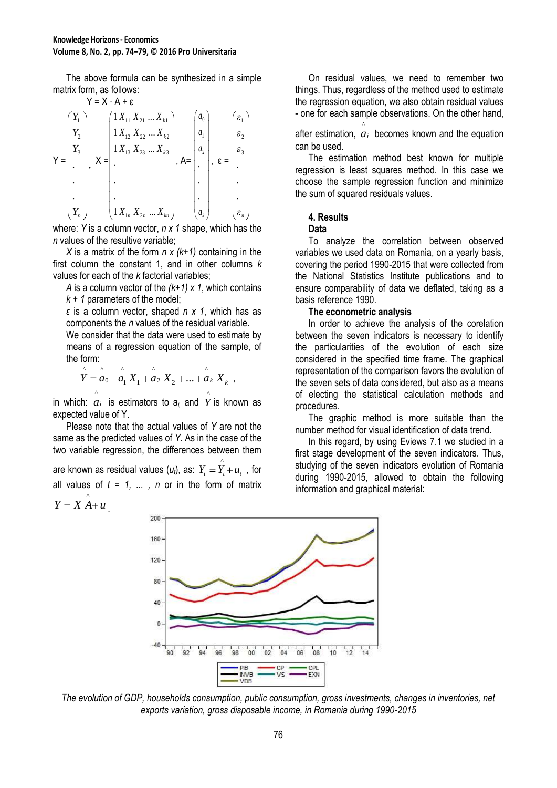The above formula can be synthesized in a simple matrix form, as follows:

$$
Y = X \cdot A + \varepsilon
$$
\n
$$
Y = \begin{bmatrix} Y_1 \\ Y_2 \\ Y_3 \\ \vdots \\ Y_n \end{bmatrix}, X = \begin{bmatrix} 1 \, X_{11} \, X_{21} \, \dots \, X_{k1} \\ 1 \, X_{12} \, X_{22} \, \dots \, X_{k2} \\ 1 \, X_{13} \, X_{23} \, \dots \, X_{k3} \\ \vdots \\ 1 \, X_{1n} \, X_{2n} \, \dots \, X_{kn} \end{bmatrix}, A = \begin{bmatrix} a_0 \\ a_1 \\ a_2 \\ \vdots \\ a_k \end{bmatrix}, \varepsilon = \begin{bmatrix} \varepsilon_1 \\ \varepsilon_2 \\ \varepsilon_3 \\ \vdots \\ \varepsilon_n \end{bmatrix}
$$

where: *Y* is a column vector, *n x 1* shape, which has the *n* values of the resultive variable;

*X* is a matrix of the form *n x (k+1)* containing in the first column the constant 1, and in other columns *k* values for each of the *k* factorial variables;

*A* is a column vector of the *(k+1) x 1*, which contains *k + 1* parameters of the model;

*ε* is a column vector, shaped *n x 1*, which has as components the *n* values of the residual variable.

We consider that the data were used to estimate by means of a regression equation of the sample, of the form:

$$
\sum_{1}^{n} a_{0} + a_{1} X_{1} + a_{2} X_{2} + ... + a_{k} X_{k}
$$

in which:  $\hat{a}_i$  is estimators to  $a_i$  and  $\hat{Y}$  is known as ^ expected value of Y.

Please note that the actual values of *Y* are not the same as the predicted values of *Y*. As in the case of the two variable regression, the differences between them

are known as residual values  $(u_t)$ , as:  $Y_t = \hat{Y}_t + u_t$  , for all values of  $t = 1, \ldots, n$  or in the form of matrix  $Y = X \mathop{A}^{\wedge} u$ .

On residual values, we need to remember two things. Thus, regardless of the method used to estimate the regression equation, we also obtain residual values - one for each sample observations. On the other hand,

after estimation, *ai* becomes known and the equation ^ can be used.

The estimation method best known for multiple regression is least squares method. In this case we choose the sample regression function and minimize the sum of squared residuals values.

## **4. Results**

#### **Data**

To analyze the correlation between observed variables we used data on Romania, on a yearly basis, covering the period 1990-2015 that were collected from the National Statistics Institute publications and to ensure comparability of data we deflated, taking as a basis reference 1990.

## **The econometric analysis**

In order to achieve the analysis of the corelation between the seven indicators is necessary to identify the particularities of the evolution of each size considered in the specified time frame. The graphical representation of the comparison favors the evolution of the seven sets of data considered, but also as a means of electing the statistical calculation methods and procedures.

The graphic method is more suitable than the number method for visual identification of data trend.

In this regard, by using Eviews 7.1 we studied in a first stage development of the seven indicators. Thus, studying of the seven indicators evolution of Romania during 1990-2015, allowed to obtain the following information and graphical material:



*The evolution of GDP, households consumption, public consumption, gross investments, changes in inventories, net exports variation, gross disposable income, in Romania during 1990-2015*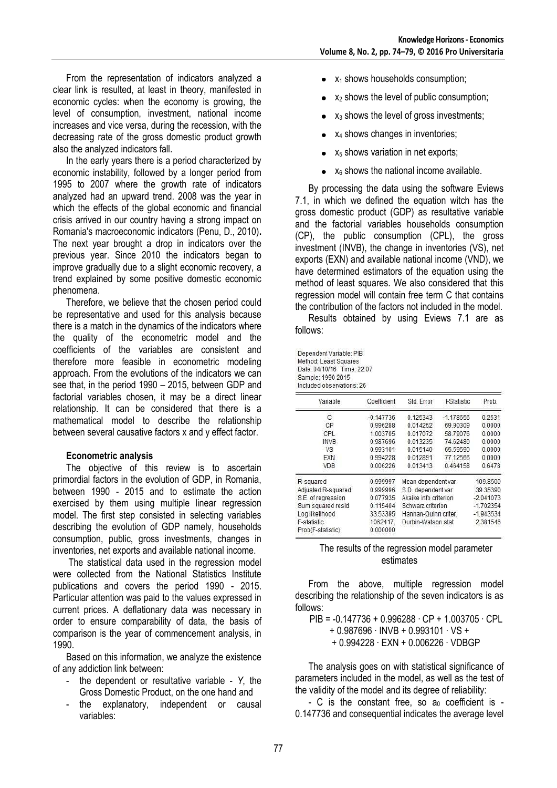From the representation of indicators analyzed a clear link is resulted, at least in theory, manifested in economic cycles: when the economy is growing, the level of consumption, investment, national income increases and vice versa, during the recession, with the decreasing rate of the gross domestic product growth also the analyzed indicators fall.

In the early years there is a period characterized by economic instability, followed by a longer period from 1995 to 2007 where the growth rate of indicators analyzed had an upward trend. 2008 was the year in which the effects of the global economic and financial crisis arrived in our country having a strong impact on Romania's macroeconomic indicators (Penu, D., 2010)**.**  The next year brought a drop in indicators over the previous year. Since 2010 the indicators began to improve gradually due to a slight economic recovery, a trend explained by some positive domestic economic phenomena.

Therefore, we believe that the chosen period could be representative and used for this analysis because there is a match in the dynamics of the indicators where the quality of the econometric model and the coefficients of the variables are consistent and therefore more feasible in econometric modeling approach. From the evolutions of the indicators we can see that, in the period 1990 – 2015, between GDP and factorial variables chosen, it may be a direct linear relationship. It can be considered that there is a mathematical model to describe the relationship between several causative factors x and y effect factor.

## **Econometric analysis**

The objective of this review is to ascertain primordial factors in the evolution of GDP, in Romania, between 1990 - 2015 and to estimate the action exercised by them using multiple linear regression model. The first step consisted in selecting variables describing the evolution of GDP namely, households consumption, public, gross investments, changes in inventories, net exports and available national income.

The statistical data used in the regression model were collected from the National Statistics Institute publications and covers the period 1990 - 2015. Particular attention was paid to the values expressed in current prices. A deflationary data was necessary in order to ensure comparability of data, the basis of comparison is the year of commencement analysis, in 1990.

Based on this information, we analyze the existence of any addiction link between:

- the dependent or resultative variable *Y*, the Gross Domestic Product, on the one hand and
- the explanatory, independent or causal variables:
- $\bullet$   $x_1$  shows households consumption;
- $x_2$  shows the level of public consumption;
- $x_3$  shows the level of gross investments;
- $\bullet$   $x_4$  shows changes in inventories;
- $\bullet$   $x_5$  shows variation in net exports;
- $\bullet$   $x_6$  shows the national income available.

By processing the data using the software Eviews 7.1, in which we defined the equation witch has the gross domestic product (GDP) as resultative variable and the factorial variables households consumption (CP), the public consumption (CPL), the gross investment (INVB), the change in inventories (VS), net exports (EXN) and available national income (VND), we have determined estimators of the equation using the method of least squares. We also considered that this regression model will contain free term C that contains the contribution of the factors not included in the model.

Results obtained by using Eviews 7.1 are as follows:

Dependent Variable: PIB Method: Least Squares Date: 04/10/16 Time: 22:07 Sample: 1990 2015 Included observations: 26

| Variable           | Coefficient | Std. Error                               | t-Statistic | Prob.       |
|--------------------|-------------|------------------------------------------|-------------|-------------|
| С                  | $-0.147736$ | 0.125343                                 | $-1.178656$ | 0.2531      |
| CP                 | 0.996288    | 0.014252                                 | 69 90309    | 0.0000      |
| CPL                | 1.003705    | 0.017072                                 | 58.79076    | 0.0000      |
| <b>INVB</b>        | 0.987696    | 0.013235                                 | 74 62480    | 0.0000      |
| <b>VS</b>          | 0.993101    | 0.015140                                 | 65 59590    | 0.0000      |
| EXN                | 0.994228    | 0.012891                                 | 77.12566    | 0.0000      |
| <b>VDB</b>         | 0.006226    | 0.013413                                 | 0.464158    | 0.6478      |
| R-squared          | 0.999997    | Mean dependent var<br>S.D. dependent var |             | 109,8500    |
| Adjusted R-squared | 0.999996    |                                          |             | 39.35390    |
| S.E. of regression | 0.077935    | Akaike info criterion                    |             | $-2.041073$ |
| Sum squared resid  | 0.115404    | Schwarz criterion                        |             | $-1.702354$ |
| Log likelihood     | 33.53395    | Hannan-Quinn criter.                     |             | $-1.943534$ |
| F-statistic        | 1062417.    | Durbin-Watson stat                       |             | 2.381546    |
| Prob(F-statistic)  | 0.000000    |                                          |             |             |

#### The results of the regression model parameter estimates

From the above, multiple regression model describing the relationship of the seven indicators is as follows:

PIB = -0.147736 + 0.996288 ∙ CP + 1.003705 ∙ CPL

+ 0.987696 ∙ INVB + 0.993101 ∙ VS +

+ 0.994228 ∙ EXN + 0.006226 ∙ VDBGP

The analysis goes on with statistical significance of parameters included in the model, as well as the test of the validity of the model and its degree of reliability:

- C is the constant free, so  $a_0$  coefficient is -0.147736 and consequential indicates the average level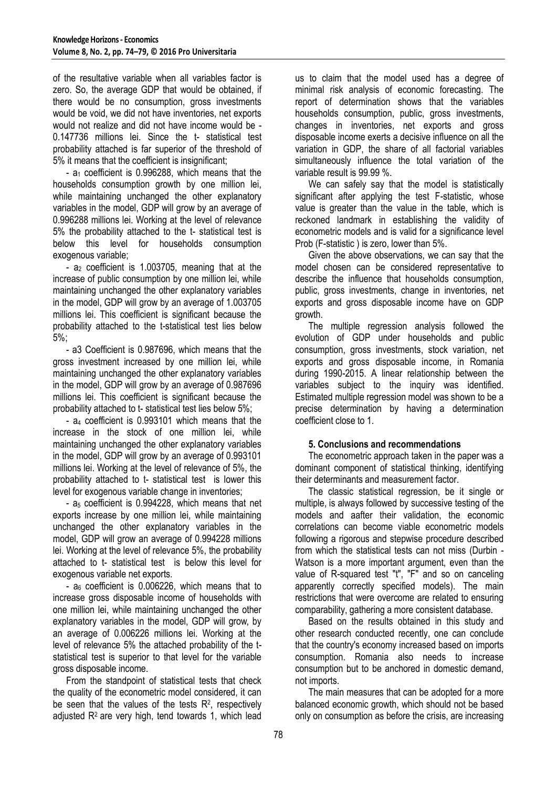of the resultative variable when all variables factor is zero. So, the average GDP that would be obtained, if there would be no consumption, gross investments would be void, we did not have inventories, net exports would not realize and did not have income would be - 0.147736 millions lei. Since the t- statistical test probability attached is far superior of the threshold of 5% it means that the coefficient is insignificant;

-  $a_1$  coefficient is 0.996288, which means that the households consumption growth by one million lei, while maintaining unchanged the other explanatory variables in the model, GDP will grow by an average of 0.996288 millions lei. Working at the level of relevance 5% the probability attached to the t- statistical test is below this level for households consumption exogenous variable;

-  $a_2$  coefficient is 1.003705, meaning that at the increase of public consumption by one million lei, while maintaining unchanged the other explanatory variables in the model, GDP will grow by an average of 1.003705 millions lei. This coefficient is significant because the probability attached to the t-statistical test lies below 5%;

- a3 Coefficient is 0.987696, which means that the gross investment increased by one million lei, while maintaining unchanged the other explanatory variables in the model, GDP will grow by an average of 0.987696 millions lei. This coefficient is significant because the probability attached to t- statistical test lies below 5%;

- a<sup>4</sup> coefficient is 0.993101 which means that the increase in the stock of one million lei, while maintaining unchanged the other explanatory variables in the model, GDP will grow by an average of 0.993101 millions lei. Working at the level of relevance of 5%, the probability attached to t- statistical test is lower this level for exogenous variable change in inventories;

-  $a_5$  coefficient is 0.994228, which means that net exports increase by one million lei, while maintaining unchanged the other explanatory variables in the model, GDP will grow an average of 0.994228 millions lei. Working at the level of relevance 5%, the probability attached to t- statistical test is below this level for exogenous variable net exports.

-  $a_6$  coefficient is 0.006226, which means that to increase gross disposable income of households with one million lei, while maintaining unchanged the other explanatory variables in the model, GDP will grow, by an average of 0.006226 millions lei. Working at the level of relevance 5% the attached probability of the tstatistical test is superior to that level for the variable gross disposable income.

From the standpoint of statistical tests that check the quality of the econometric model considered, it can be seen that the values of the tests  $R<sup>2</sup>$ , respectively adjusted R<sup>2</sup> are very high, tend towards 1, which lead

us to claim that the model used has a degree of minimal risk analysis of economic forecasting. The report of determination shows that the variables households consumption, public, gross investments, changes in inventories, net exports and gross disposable income exerts a decisive influence on all the variation in GDP, the share of all factorial variables simultaneously influence the total variation of the variable result is 99.99 %.

We can safely say that the model is statistically significant after applying the test F-statistic, whose value is greater than the value in the table, which is reckoned landmark in establishing the validity of econometric models and is valid for a significance level Prob (F-statistic ) is zero, lower than 5%.

Given the above observations, we can say that the model chosen can be considered representative to describe the influence that households consumption, public, gross investments, change in inventories, net exports and gross disposable income have on GDP growth.

The multiple regression analysis followed the evolution of GDP under households and public consumption, gross investments, stock variation, net exports and gross disposable income, in Romania during 1990-2015. A linear relationship between the variables subject to the inquiry was identified. Estimated multiple regression model was shown to be a precise determination by having a determination coefficient close to 1.

# **5. Conclusions and recommendations**

The econometric approach taken in the paper was a dominant component of statistical thinking, identifying their determinants and measurement factor.

The classic statistical regression, be it single or multiple, is always followed by successive testing of the models and aafter their validation, the economic correlations can become viable econometric models following a rigorous and stepwise procedure described from which the statistical tests can not miss (Durbin - Watson is a more important argument, even than the value of R-squared test "t", "F" and so on canceling apparently correctly specified models). The main restrictions that were overcome are related to ensuring comparability, gathering a more consistent database.

Based on the results obtained in this study and other research conducted recently, one can conclude that the country's economy increased based on imports consumption. Romania also needs to increase consumption but to be anchored in domestic demand, not imports.

The main measures that can be adopted for a more balanced economic growth, which should not be based only on consumption as before the crisis, are increasing